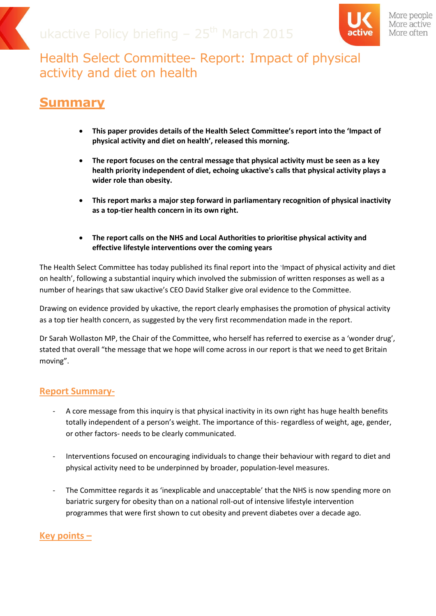

More people More active More often

# Health Select Committee- Report: Impact of physical activity and diet on health

### **Summary**

- **This paper provides details of the Health Select Committee's report into the 'Impact of physical activity and diet on health', released this morning.**
- **The report focuses on the central message that physical activity must be seen as a key health priority independent of diet, echoing ukactive's calls that physical activity plays a wider role than obesity.**
- **This report marks a major step forward in parliamentary recognition of physical inactivity as a top-tier health concern in its own right.**
- **The report calls on the NHS and Local Authorities to prioritise physical activity and effective lifestyle interventions over the coming years**

The Health Select Committee has today published its final report into the 'Impact of physical activity and diet on health', following a substantial inquiry which involved the submission of written responses as well as a number of hearings that saw ukactive's CEO David Stalker give oral evidence to the Committee.

Drawing on evidence provided by ukactive, the report clearly emphasises the promotion of physical activity as a top tier health concern, as suggested by the very first recommendation made in the report.

Dr Sarah Wollaston MP, the Chair of the Committee, who herself has referred to exercise as a 'wonder drug', stated that overall "the message that we hope will come across in our report is that we need to get Britain moving".

#### **Report Summary-**

- A core message from this inquiry is that physical inactivity in its own right has huge health benefits totally independent of a person's weight. The importance of this- regardless of weight, age, gender, or other factors- needs to be clearly communicated.
- Interventions focused on encouraging individuals to change their behaviour with regard to diet and physical activity need to be underpinned by broader, population-level measures.
- The Committee regards it as 'inexplicable and unacceptable' that the NHS is now spending more on bariatric surgery for obesity than on a national roll-out of intensive lifestyle intervention programmes that were first shown to cut obesity and prevent diabetes over a decade ago.

#### **Key points –**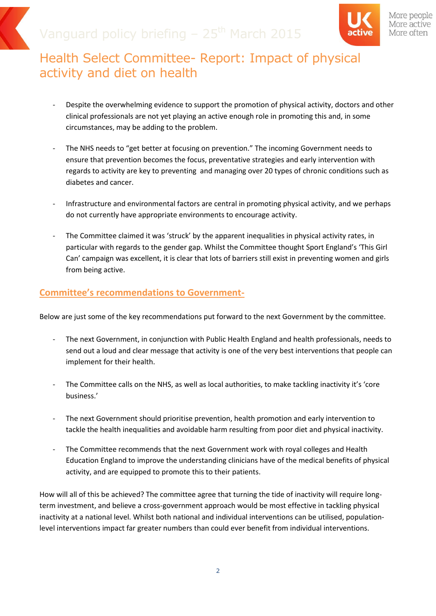

More people More active More often

# Health Select Committee- Report: Impact of physical activity and diet on health

- Despite the overwhelming evidence to support the promotion of physical activity, doctors and other clinical professionals are not yet playing an active enough role in promoting this and, in some circumstances, may be adding to the problem.
- The NHS needs to "get better at focusing on prevention." The incoming Government needs to ensure that prevention becomes the focus, preventative strategies and early intervention with regards to activity are key to preventing and managing over 20 types of chronic conditions such as diabetes and cancer.
- Infrastructure and environmental factors are central in promoting physical activity, and we perhaps do not currently have appropriate environments to encourage activity.
- The Committee claimed it was 'struck' by the apparent inequalities in physical activity rates, in particular with regards to the gender gap. Whilst the Committee thought Sport England's 'This Girl Can' campaign was excellent, it is clear that lots of barriers still exist in preventing women and girls from being active.

#### **Committee's recommendations to Government-**

Below are just some of the key recommendations put forward to the next Government by the committee.

- The next Government, in conjunction with Public Health England and health professionals, needs to send out a loud and clear message that activity is one of the very best interventions that people can implement for their health.
- The Committee calls on the NHS, as well as local authorities, to make tackling inactivity it's 'core business.'
- The next Government should prioritise prevention, health promotion and early intervention to tackle the health inequalities and avoidable harm resulting from poor diet and physical inactivity.
- The Committee recommends that the next Government work with royal colleges and Health Education England to improve the understanding clinicians have of the medical benefits of physical activity, and are equipped to promote this to their patients.

How will all of this be achieved? The committee agree that turning the tide of inactivity will require longterm investment, and believe a cross-government approach would be most effective in tackling physical inactivity at a national level. Whilst both national and individual interventions can be utilised, populationlevel interventions impact far greater numbers than could ever benefit from individual interventions.